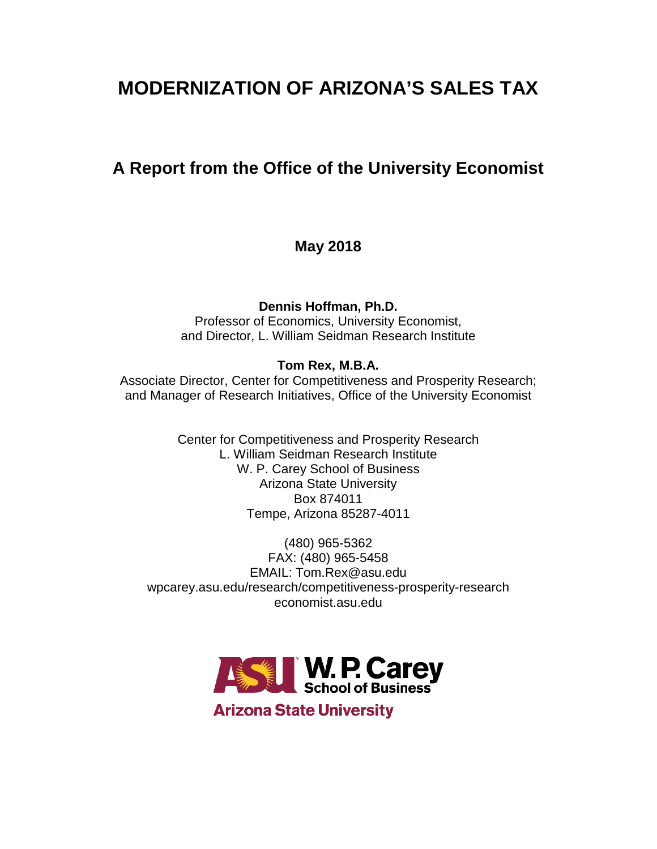# **MODERNIZATION OF ARIZONA'S SALES TAX**

## **A Report from the Office of the University Economist**

**May 2018**

**Dennis Hoffman, Ph.D.** Professor of Economics, University Economist, and Director, L. William Seidman Research Institute

## **Tom Rex, M.B.A.**

Associate Director, Center for Competitiveness and Prosperity Research; and Manager of Research Initiatives, Office of the University Economist

> Center for Competitiveness and Prosperity Research L. William Seidman Research Institute W. P. Carey School of Business Arizona State University Box 874011 Tempe, Arizona 85287-4011

(480) 965-5362 FAX: (480) 965-5458 EMAIL: Tom.Rex@asu.edu wpcarey.asu.edu/research/competitiveness-prosperity-research economist.asu.edu



**Arizona State University**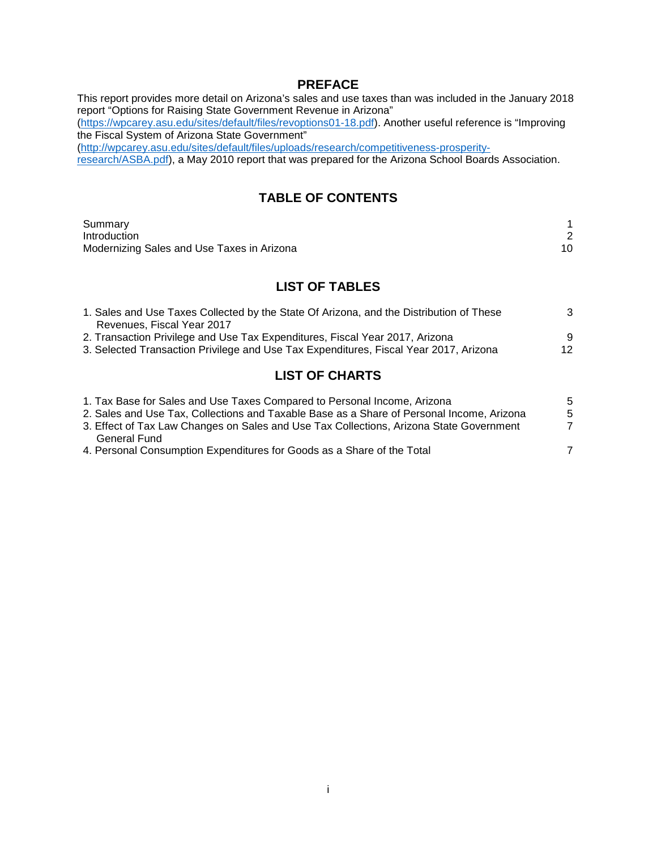#### **PREFACE**

This report provides more detail on Arizona's sales and use taxes than was included in the January 2018 report "Options for Raising State Government Revenue in Arizona" [\(https://wpcarey.asu.edu/sites/default/files/revoptions01-18.pdf\)](https://wpcarey.asu.edu/sites/default/files/revoptions01-18.pdf). Another useful reference is "Improving the Fiscal System of Arizona State Government" [\(http://wpcarey.asu.edu/sites/default/files/uploads/research/competitiveness-prosperity](http://wpcarey.asu.edu/sites/default/files/uploads/research/competitiveness-prosperity-research/ASBA.pdf)[research/ASBA.pdf\)](http://wpcarey.asu.edu/sites/default/files/uploads/research/competitiveness-prosperity-research/ASBA.pdf), a May 2010 report that was prepared for the Arizona School Boards Association.

## **TABLE OF CONTENTS**

| Summary                                    |  |
|--------------------------------------------|--|
| Introduction                               |  |
| Modernizing Sales and Use Taxes in Arizona |  |

## **LIST OF TABLES**

| 1. Sales and Use Taxes Collected by the State Of Arizona, and the Distribution of These | 3 |  |
|-----------------------------------------------------------------------------------------|---|--|
| Revenues, Fiscal Year 2017                                                              |   |  |
| 2. Transaction Privilege and Use Tax Expenditures, Fiscal Year 2017, Arizona            | 9 |  |
| 3. Selected Transaction Privilege and Use Tax Expenditures, Fiscal Year 2017, Arizona   |   |  |
|                                                                                         |   |  |
| <b>LIST OF CHARTS</b>                                                                   |   |  |

| 1. Tax Base for Sales and Use Taxes Compared to Personal Income, Arizona                  | 5  |
|-------------------------------------------------------------------------------------------|----|
| 2. Sales and Use Tax, Collections and Taxable Base as a Share of Personal Income, Arizona | .5 |
| 3. Effect of Tax Law Changes on Sales and Use Tax Collections, Arizona State Government   |    |
| General Fund                                                                              |    |
| 4. Personal Consumption Expenditures for Goods as a Share of the Total                    |    |
|                                                                                           |    |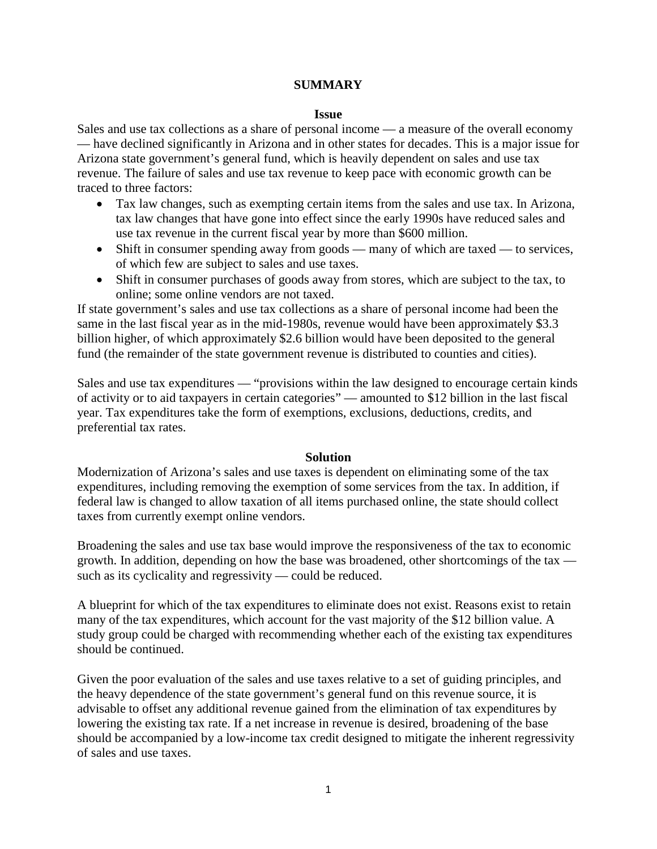#### **SUMMARY**

#### **Issue**

Sales and use tax collections as a share of personal income — a measure of the overall economy — have declined significantly in Arizona and in other states for decades. This is a major issue for Arizona state government's general fund, which is heavily dependent on sales and use tax revenue. The failure of sales and use tax revenue to keep pace with economic growth can be traced to three factors:

- Tax law changes, such as exempting certain items from the sales and use tax. In Arizona, tax law changes that have gone into effect since the early 1990s have reduced sales and use tax revenue in the current fiscal year by more than \$600 million.
- Shift in consumer spending away from goods many of which are taxed to services, of which few are subject to sales and use taxes.
- Shift in consumer purchases of goods away from stores, which are subject to the tax, to online; some online vendors are not taxed.

If state government's sales and use tax collections as a share of personal income had been the same in the last fiscal year as in the mid-1980s, revenue would have been approximately \$3.3 billion higher, of which approximately \$2.6 billion would have been deposited to the general fund (the remainder of the state government revenue is distributed to counties and cities).

Sales and use tax expenditures — "provisions within the law designed to encourage certain kinds of activity or to aid taxpayers in certain categories" — amounted to \$12 billion in the last fiscal year. Tax expenditures take the form of exemptions, exclusions, deductions, credits, and preferential tax rates.

#### **Solution**

Modernization of Arizona's sales and use taxes is dependent on eliminating some of the tax expenditures, including removing the exemption of some services from the tax. In addition, if federal law is changed to allow taxation of all items purchased online, the state should collect taxes from currently exempt online vendors.

Broadening the sales and use tax base would improve the responsiveness of the tax to economic growth. In addition, depending on how the base was broadened, other shortcomings of the tax such as its cyclicality and regressivity — could be reduced.

A blueprint for which of the tax expenditures to eliminate does not exist. Reasons exist to retain many of the tax expenditures, which account for the vast majority of the \$12 billion value. A study group could be charged with recommending whether each of the existing tax expenditures should be continued.

Given the poor evaluation of the sales and use taxes relative to a set of guiding principles, and the heavy dependence of the state government's general fund on this revenue source, it is advisable to offset any additional revenue gained from the elimination of tax expenditures by lowering the existing tax rate. If a net increase in revenue is desired, broadening of the base should be accompanied by a low-income tax credit designed to mitigate the inherent regressivity of sales and use taxes.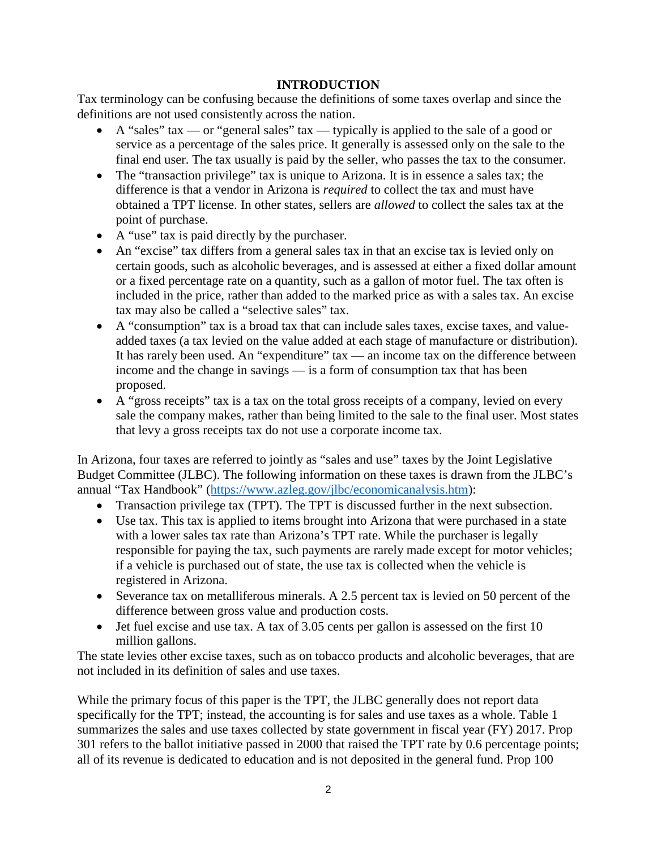## **INTRODUCTION**

Tax terminology can be confusing because the definitions of some taxes overlap and since the definitions are not used consistently across the nation.

- A "sales" tax or "general sales" tax typically is applied to the sale of a good or service as a percentage of the sales price. It generally is assessed only on the sale to the final end user. The tax usually is paid by the seller, who passes the tax to the consumer.
- The "transaction privilege" tax is unique to Arizona. It is in essence a sales tax; the difference is that a vendor in Arizona is *required* to collect the tax and must have obtained a TPT license. In other states, sellers are *allowed* to collect the sales tax at the point of purchase.
- A "use" tax is paid directly by the purchaser.
- An "excise" tax differs from a general sales tax in that an excise tax is levied only on certain goods, such as alcoholic beverages, and is assessed at either a fixed dollar amount or a fixed percentage rate on a quantity, such as a gallon of motor fuel. The tax often is included in the price, rather than added to the marked price as with a sales tax. An excise tax may also be called a "selective sales" tax.
- A "consumption" tax is a broad tax that can include sales taxes, excise taxes, and valueadded taxes (a tax levied on the value added at each stage of manufacture or distribution). It has rarely been used. An "expenditure" tax — an income tax on the difference between income and the change in savings — is a form of consumption tax that has been proposed.
- A "gross receipts" tax is a tax on the total gross receipts of a company, levied on every sale the company makes, rather than being limited to the sale to the final user. Most states that levy a gross receipts tax do not use a corporate income tax.

In Arizona, four taxes are referred to jointly as "sales and use" taxes by the Joint Legislative Budget Committee (JLBC). The following information on these taxes is drawn from the JLBC's annual "Tax Handbook" [\(https://www.azleg.gov/jlbc/economicanalysis.htm\)](https://www.azleg.gov/jlbc/economicanalysis.htm):

- Transaction privilege tax (TPT). The TPT is discussed further in the next subsection.
- Use tax. This tax is applied to items brought into Arizona that were purchased in a state with a lower sales tax rate than Arizona's TPT rate. While the purchaser is legally responsible for paying the tax, such payments are rarely made except for motor vehicles; if a vehicle is purchased out of state, the use tax is collected when the vehicle is registered in Arizona.
- Severance tax on metalliferous minerals. A 2.5 percent tax is levied on 50 percent of the difference between gross value and production costs.
- Jet fuel excise and use tax. A tax of 3.05 cents per gallon is assessed on the first 10 million gallons.

The state levies other excise taxes, such as on tobacco products and alcoholic beverages, that are not included in its definition of sales and use taxes.

While the primary focus of this paper is the TPT, the JLBC generally does not report data specifically for the TPT; instead, the accounting is for sales and use taxes as a whole. Table 1 summarizes the sales and use taxes collected by state government in fiscal year (FY) 2017. Prop 301 refers to the ballot initiative passed in 2000 that raised the TPT rate by 0.6 percentage points; all of its revenue is dedicated to education and is not deposited in the general fund. Prop 100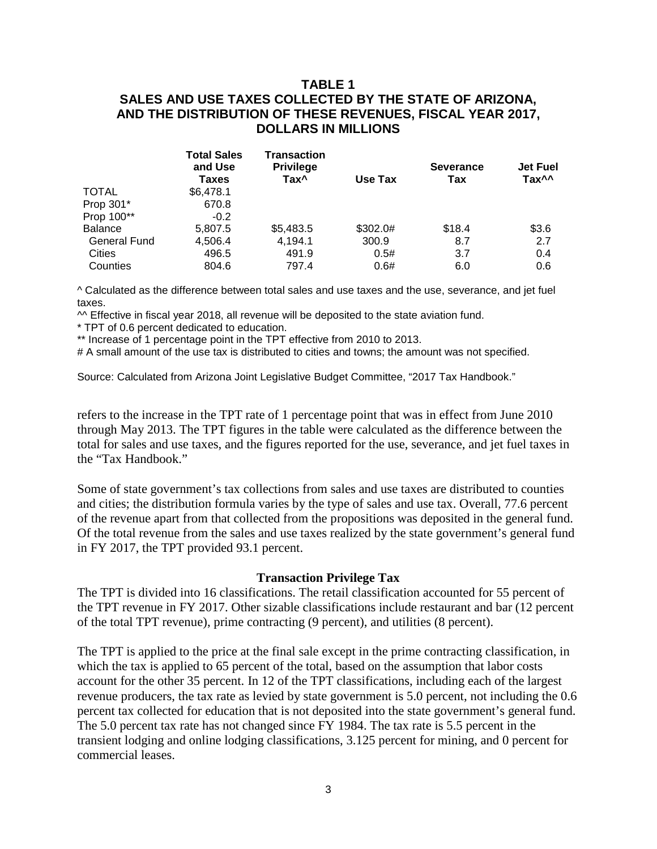## **TABLE 1 SALES AND USE TAXES COLLECTED BY THE STATE OF ARIZONA, AND THE DISTRIBUTION OF THESE REVENUES, FISCAL YEAR 2017, DOLLARS IN MILLIONS**

|                     | <b>Total Sales</b><br>and Use<br>Taxes | <b>Transaction</b><br><b>Privilege</b><br>Tax <sup>^</sup> | Use Tax  | <b>Severance</b><br>Tax | <b>Jet Fuel</b><br>Tax <sup>^^</sup> |
|---------------------|----------------------------------------|------------------------------------------------------------|----------|-------------------------|--------------------------------------|
| <b>TOTAL</b>        | \$6,478.1                              |                                                            |          |                         |                                      |
| Prop 301*           | 670.8                                  |                                                            |          |                         |                                      |
| Prop 100**          | $-0.2$                                 |                                                            |          |                         |                                      |
| <b>Balance</b>      | 5,807.5                                | \$5,483.5                                                  | \$302.0# | \$18.4                  | \$3.6                                |
| <b>General Fund</b> | 4,506.4                                | 4.194.1                                                    | 300.9    | 8.7                     | 2.7                                  |
| Cities              | 496.5                                  | 491.9                                                      | 0.5#     | 3.7                     | 0.4                                  |
| Counties            | 804.6                                  | 797.4                                                      | 0.6#     | 6.0                     | 0.6                                  |

^ Calculated as the difference between total sales and use taxes and the use, severance, and jet fuel taxes.

 $\sim$  Effective in fiscal year 2018, all revenue will be deposited to the state aviation fund.

\* TPT of 0.6 percent dedicated to education.

\*\* Increase of 1 percentage point in the TPT effective from 2010 to 2013.

# A small amount of the use tax is distributed to cities and towns; the amount was not specified.

Source: Calculated from Arizona Joint Legislative Budget Committee, "2017 Tax Handbook."

refers to the increase in the TPT rate of 1 percentage point that was in effect from June 2010 through May 2013. The TPT figures in the table were calculated as the difference between the total for sales and use taxes, and the figures reported for the use, severance, and jet fuel taxes in the "Tax Handbook."

Some of state government's tax collections from sales and use taxes are distributed to counties and cities; the distribution formula varies by the type of sales and use tax. Overall, 77.6 percent of the revenue apart from that collected from the propositions was deposited in the general fund. Of the total revenue from the sales and use taxes realized by the state government's general fund in FY 2017, the TPT provided 93.1 percent.

#### **Transaction Privilege Tax**

The TPT is divided into 16 classifications. The retail classification accounted for 55 percent of the TPT revenue in FY 2017. Other sizable classifications include restaurant and bar (12 percent of the total TPT revenue), prime contracting (9 percent), and utilities (8 percent).

The TPT is applied to the price at the final sale except in the prime contracting classification, in which the tax is applied to 65 percent of the total, based on the assumption that labor costs account for the other 35 percent. In 12 of the TPT classifications, including each of the largest revenue producers, the tax rate as levied by state government is 5.0 percent, not including the 0.6 percent tax collected for education that is not deposited into the state government's general fund. The 5.0 percent tax rate has not changed since FY 1984. The tax rate is 5.5 percent in the transient lodging and online lodging classifications, 3.125 percent for mining, and 0 percent for commercial leases.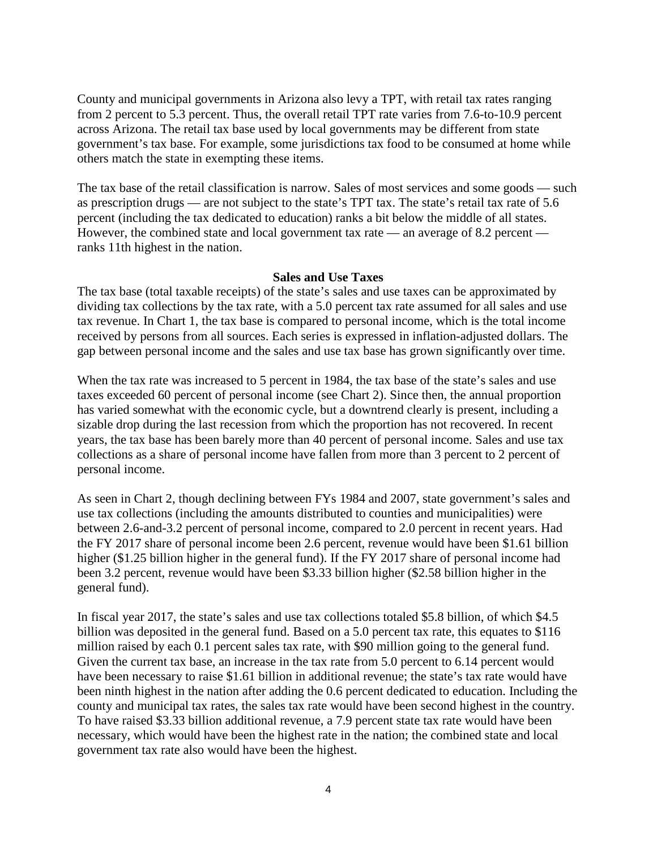County and municipal governments in Arizona also levy a TPT, with retail tax rates ranging from 2 percent to 5.3 percent. Thus, the overall retail TPT rate varies from 7.6-to-10.9 percent across Arizona. The retail tax base used by local governments may be different from state government's tax base. For example, some jurisdictions tax food to be consumed at home while others match the state in exempting these items.

The tax base of the retail classification is narrow. Sales of most services and some goods — such as prescription drugs — are not subject to the state's TPT tax. The state's retail tax rate of 5.6 percent (including the tax dedicated to education) ranks a bit below the middle of all states. However, the combined state and local government tax rate — an average of 8.2 percent ranks 11th highest in the nation.

#### **Sales and Use Taxes**

The tax base (total taxable receipts) of the state's sales and use taxes can be approximated by dividing tax collections by the tax rate, with a 5.0 percent tax rate assumed for all sales and use tax revenue. In Chart 1, the tax base is compared to personal income, which is the total income received by persons from all sources. Each series is expressed in inflation-adjusted dollars. The gap between personal income and the sales and use tax base has grown significantly over time.

When the tax rate was increased to 5 percent in 1984, the tax base of the state's sales and use taxes exceeded 60 percent of personal income (see Chart 2). Since then, the annual proportion has varied somewhat with the economic cycle, but a downtrend clearly is present, including a sizable drop during the last recession from which the proportion has not recovered. In recent years, the tax base has been barely more than 40 percent of personal income. Sales and use tax collections as a share of personal income have fallen from more than 3 percent to 2 percent of personal income.

As seen in Chart 2, though declining between FYs 1984 and 2007, state government's sales and use tax collections (including the amounts distributed to counties and municipalities) were between 2.6-and-3.2 percent of personal income, compared to 2.0 percent in recent years. Had the FY 2017 share of personal income been 2.6 percent, revenue would have been \$1.61 billion higher (\$1.25 billion higher in the general fund). If the FY 2017 share of personal income had been 3.2 percent, revenue would have been \$3.33 billion higher (\$2.58 billion higher in the general fund).

In fiscal year 2017, the state's sales and use tax collections totaled \$5.8 billion, of which \$4.5 billion was deposited in the general fund. Based on a 5.0 percent tax rate, this equates to \$116 million raised by each 0.1 percent sales tax rate, with \$90 million going to the general fund. Given the current tax base, an increase in the tax rate from 5.0 percent to 6.14 percent would have been necessary to raise \$1.61 billion in additional revenue; the state's tax rate would have been ninth highest in the nation after adding the 0.6 percent dedicated to education. Including the county and municipal tax rates, the sales tax rate would have been second highest in the country. To have raised \$3.33 billion additional revenue, a 7.9 percent state tax rate would have been necessary, which would have been the highest rate in the nation; the combined state and local government tax rate also would have been the highest.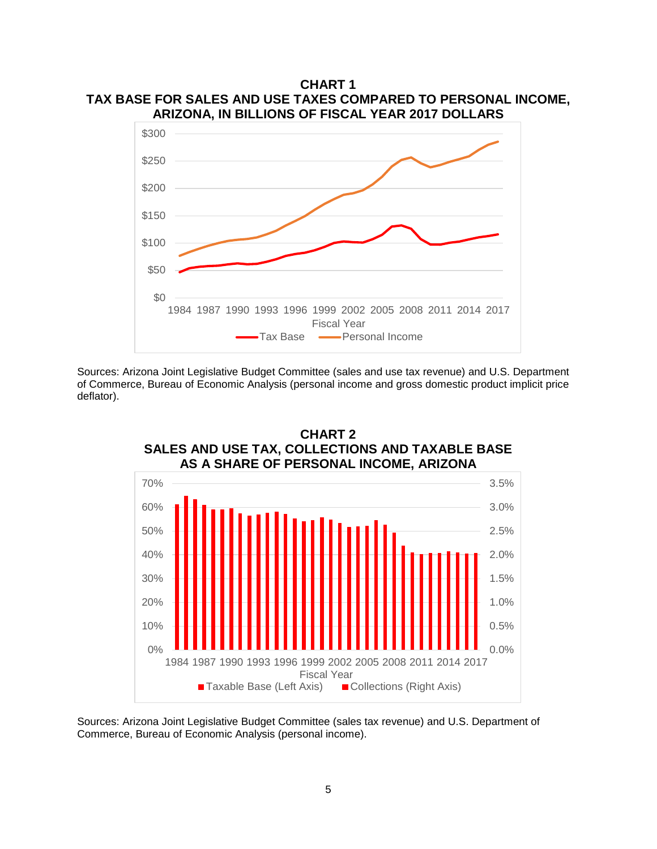

Sources: Arizona Joint Legislative Budget Committee (sales and use tax revenue) and U.S. Department of Commerce, Bureau of Economic Analysis (personal income and gross domestic product implicit price deflator).



**CHART 2 SALES AND USE TAX, COLLECTIONS AND TAXABLE BASE**

Sources: Arizona Joint Legislative Budget Committee (sales tax revenue) and U.S. Department of Commerce, Bureau of Economic Analysis (personal income).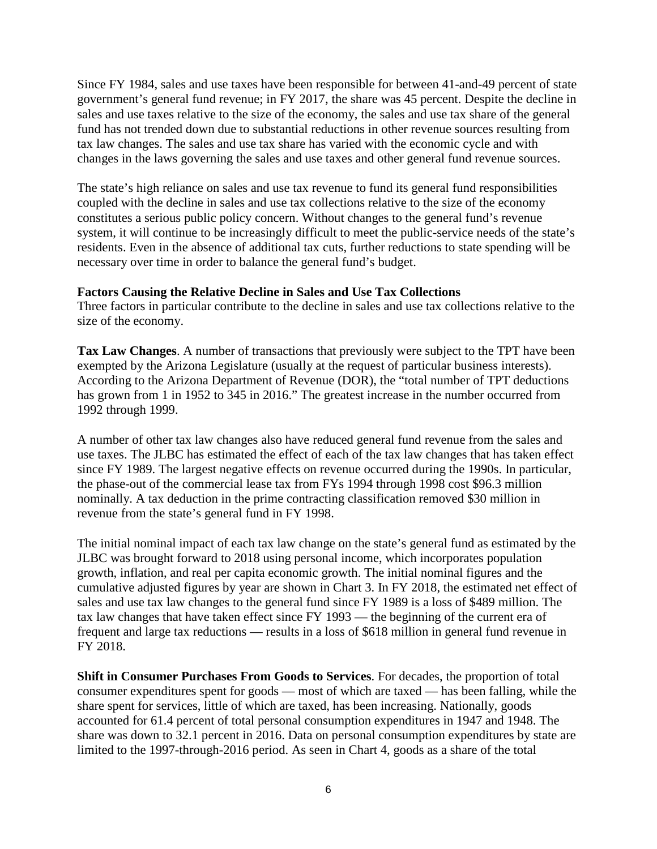Since FY 1984, sales and use taxes have been responsible for between 41-and-49 percent of state government's general fund revenue; in FY 2017, the share was 45 percent. Despite the decline in sales and use taxes relative to the size of the economy, the sales and use tax share of the general fund has not trended down due to substantial reductions in other revenue sources resulting from tax law changes. The sales and use tax share has varied with the economic cycle and with changes in the laws governing the sales and use taxes and other general fund revenue sources.

The state's high reliance on sales and use tax revenue to fund its general fund responsibilities coupled with the decline in sales and use tax collections relative to the size of the economy constitutes a serious public policy concern. Without changes to the general fund's revenue system, it will continue to be increasingly difficult to meet the public-service needs of the state's residents. Even in the absence of additional tax cuts, further reductions to state spending will be necessary over time in order to balance the general fund's budget.

#### **Factors Causing the Relative Decline in Sales and Use Tax Collections**

Three factors in particular contribute to the decline in sales and use tax collections relative to the size of the economy.

**Tax Law Changes**. A number of transactions that previously were subject to the TPT have been exempted by the Arizona Legislature (usually at the request of particular business interests). According to the Arizona Department of Revenue (DOR), the "total number of TPT deductions has grown from 1 in 1952 to 345 in 2016." The greatest increase in the number occurred from 1992 through 1999.

A number of other tax law changes also have reduced general fund revenue from the sales and use taxes. The JLBC has estimated the effect of each of the tax law changes that has taken effect since FY 1989. The largest negative effects on revenue occurred during the 1990s. In particular, the phase-out of the commercial lease tax from FYs 1994 through 1998 cost \$96.3 million nominally. A tax deduction in the prime contracting classification removed \$30 million in revenue from the state's general fund in FY 1998.

The initial nominal impact of each tax law change on the state's general fund as estimated by the JLBC was brought forward to 2018 using personal income, which incorporates population growth, inflation, and real per capita economic growth. The initial nominal figures and the cumulative adjusted figures by year are shown in Chart 3. In FY 2018, the estimated net effect of sales and use tax law changes to the general fund since FY 1989 is a loss of \$489 million. The tax law changes that have taken effect since FY 1993 — the beginning of the current era of frequent and large tax reductions — results in a loss of \$618 million in general fund revenue in FY 2018.

**Shift in Consumer Purchases From Goods to Services**. For decades, the proportion of total consumer expenditures spent for goods — most of which are taxed — has been falling, while the share spent for services, little of which are taxed, has been increasing. Nationally, goods accounted for 61.4 percent of total personal consumption expenditures in 1947 and 1948. The share was down to 32.1 percent in 2016. Data on personal consumption expenditures by state are limited to the 1997-through-2016 period. As seen in Chart 4, goods as a share of the total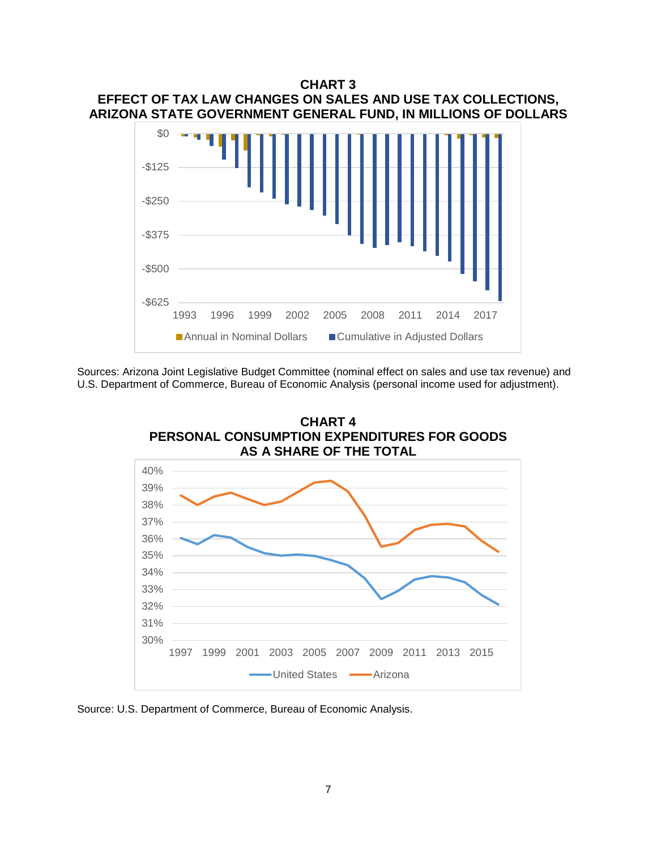

Sources: Arizona Joint Legislative Budget Committee (nominal effect on sales and use tax revenue) and U.S. Department of Commerce, Bureau of Economic Analysis (personal income used for adjustment).



Source: U.S. Department of Commerce, Bureau of Economic Analysis.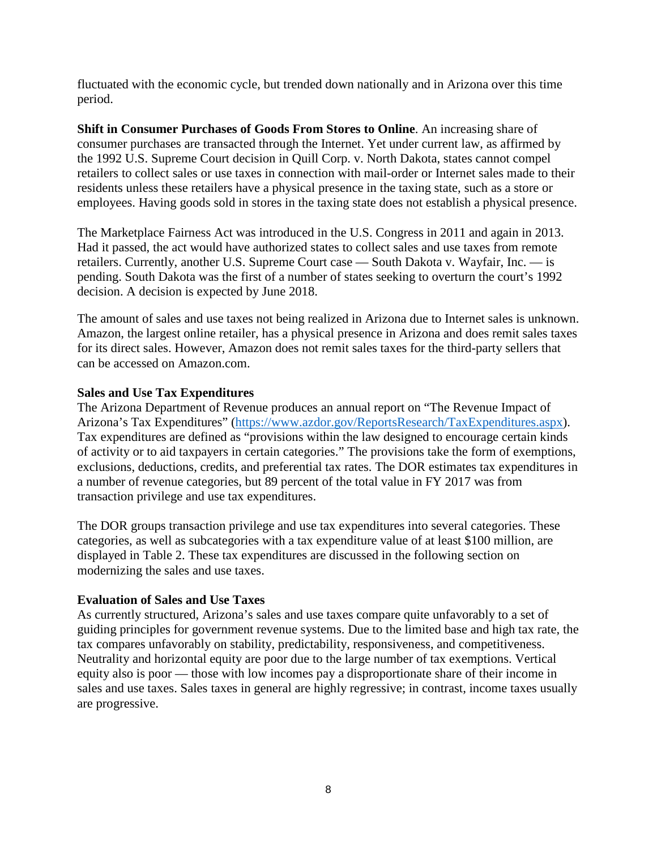fluctuated with the economic cycle, but trended down nationally and in Arizona over this time period.

**Shift in Consumer Purchases of Goods From Stores to Online**. An increasing share of consumer purchases are transacted through the Internet. Yet under current law, as affirmed by the 1992 U.S. Supreme Court decision in Quill Corp. v. North Dakota, states cannot compel retailers to collect sales or use taxes in connection with mail-order or Internet sales made to their residents unless these retailers have a physical presence in the taxing state, such as a store or employees. Having goods sold in stores in the taxing state does not establish a physical presence.

The Marketplace Fairness Act was introduced in the U.S. Congress in 2011 and again in 2013. Had it passed, the act would have authorized states to collect sales and use taxes from remote retailers. Currently, another U.S. Supreme Court case — South Dakota v. Wayfair, Inc. — is pending. South Dakota was the first of a number of states seeking to overturn the court's 1992 decision. A decision is expected by June 2018.

The amount of sales and use taxes not being realized in Arizona due to Internet sales is unknown. Amazon, the largest online retailer, has a physical presence in Arizona and does remit sales taxes for its direct sales. However, Amazon does not remit sales taxes for the third-party sellers that can be accessed on Amazon.com.

## **Sales and Use Tax Expenditures**

The Arizona Department of Revenue produces an annual report on "The Revenue Impact of Arizona's Tax Expenditures" [\(https://www.azdor.gov/ReportsResearch/TaxExpenditures.aspx\)](https://www.azdor.gov/ReportsResearch/TaxExpenditures.aspx). Tax expenditures are defined as "provisions within the law designed to encourage certain kinds of activity or to aid taxpayers in certain categories." The provisions take the form of exemptions, exclusions, deductions, credits, and preferential tax rates. The DOR estimates tax expenditures in a number of revenue categories, but 89 percent of the total value in FY 2017 was from transaction privilege and use tax expenditures.

The DOR groups transaction privilege and use tax expenditures into several categories. These categories, as well as subcategories with a tax expenditure value of at least \$100 million, are displayed in Table 2. These tax expenditures are discussed in the following section on modernizing the sales and use taxes.

## **Evaluation of Sales and Use Taxes**

As currently structured, Arizona's sales and use taxes compare quite unfavorably to a set of guiding principles for government revenue systems. Due to the limited base and high tax rate, the tax compares unfavorably on stability, predictability, responsiveness, and competitiveness. Neutrality and horizontal equity are poor due to the large number of tax exemptions. Vertical equity also is poor — those with low incomes pay a disproportionate share of their income in sales and use taxes. Sales taxes in general are highly regressive; in contrast, income taxes usually are progressive.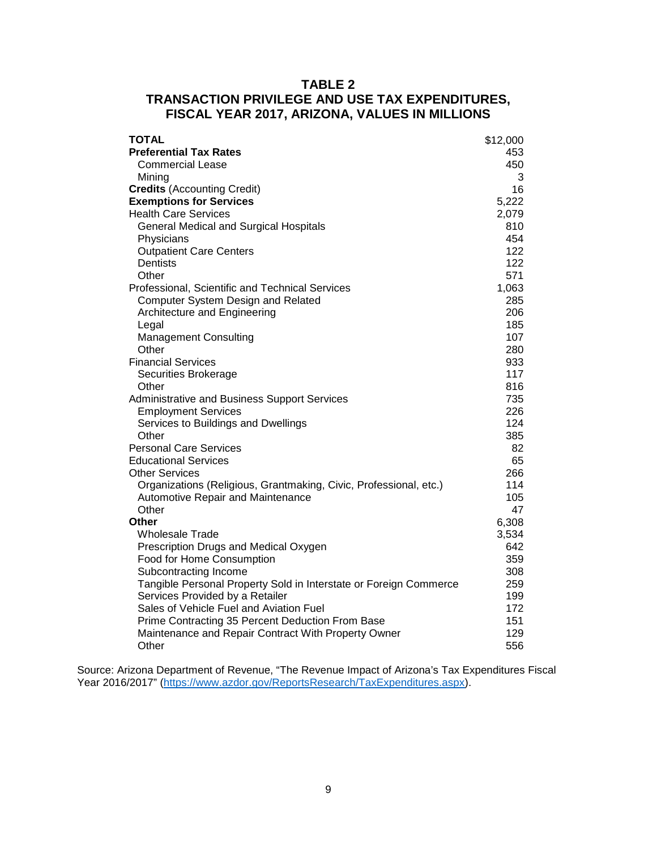## **TABLE 2 TRANSACTION PRIVILEGE AND USE TAX EXPENDITURES, FISCAL YEAR 2017, ARIZONA, VALUES IN MILLIONS**

| \$12,000<br>453<br><b>Preferential Tax Rates</b><br>450<br>Commercial Lease<br>3<br>Mining<br><b>Credits (Accounting Credit)</b><br>16<br><b>Exemptions for Services</b><br>5,222<br><b>Health Care Services</b><br>2,079<br><b>General Medical and Surgical Hospitals</b><br>810<br>454<br>Physicians<br>122<br><b>Outpatient Care Centers</b><br>122<br><b>Dentists</b><br>571<br>Other<br>Professional, Scientific and Technical Services<br>1,063<br>Computer System Design and Related<br>285 |
|----------------------------------------------------------------------------------------------------------------------------------------------------------------------------------------------------------------------------------------------------------------------------------------------------------------------------------------------------------------------------------------------------------------------------------------------------------------------------------------------------|
|                                                                                                                                                                                                                                                                                                                                                                                                                                                                                                    |
|                                                                                                                                                                                                                                                                                                                                                                                                                                                                                                    |
|                                                                                                                                                                                                                                                                                                                                                                                                                                                                                                    |
|                                                                                                                                                                                                                                                                                                                                                                                                                                                                                                    |
|                                                                                                                                                                                                                                                                                                                                                                                                                                                                                                    |
|                                                                                                                                                                                                                                                                                                                                                                                                                                                                                                    |
|                                                                                                                                                                                                                                                                                                                                                                                                                                                                                                    |
|                                                                                                                                                                                                                                                                                                                                                                                                                                                                                                    |
|                                                                                                                                                                                                                                                                                                                                                                                                                                                                                                    |
|                                                                                                                                                                                                                                                                                                                                                                                                                                                                                                    |
|                                                                                                                                                                                                                                                                                                                                                                                                                                                                                                    |
|                                                                                                                                                                                                                                                                                                                                                                                                                                                                                                    |
|                                                                                                                                                                                                                                                                                                                                                                                                                                                                                                    |
| 206<br>Architecture and Engineering                                                                                                                                                                                                                                                                                                                                                                                                                                                                |
| 185<br>Legal                                                                                                                                                                                                                                                                                                                                                                                                                                                                                       |
| 107<br><b>Management Consulting</b>                                                                                                                                                                                                                                                                                                                                                                                                                                                                |
| Other<br>280                                                                                                                                                                                                                                                                                                                                                                                                                                                                                       |
| 933<br><b>Financial Services</b>                                                                                                                                                                                                                                                                                                                                                                                                                                                                   |
| 117<br>Securities Brokerage                                                                                                                                                                                                                                                                                                                                                                                                                                                                        |
| 816<br>Other                                                                                                                                                                                                                                                                                                                                                                                                                                                                                       |
| 735<br>Administrative and Business Support Services                                                                                                                                                                                                                                                                                                                                                                                                                                                |
| 226<br><b>Employment Services</b>                                                                                                                                                                                                                                                                                                                                                                                                                                                                  |
| 124<br>Services to Buildings and Dwellings                                                                                                                                                                                                                                                                                                                                                                                                                                                         |
| 385<br>Other                                                                                                                                                                                                                                                                                                                                                                                                                                                                                       |
| <b>Personal Care Services</b><br>82                                                                                                                                                                                                                                                                                                                                                                                                                                                                |
| 65<br><b>Educational Services</b>                                                                                                                                                                                                                                                                                                                                                                                                                                                                  |
| <b>Other Services</b><br>266                                                                                                                                                                                                                                                                                                                                                                                                                                                                       |
| 114<br>Organizations (Religious, Grantmaking, Civic, Professional, etc.)                                                                                                                                                                                                                                                                                                                                                                                                                           |
| Automotive Repair and Maintenance<br>105                                                                                                                                                                                                                                                                                                                                                                                                                                                           |
| 47<br>Other                                                                                                                                                                                                                                                                                                                                                                                                                                                                                        |
| 6,308<br>Other                                                                                                                                                                                                                                                                                                                                                                                                                                                                                     |
| <b>Wholesale Trade</b><br>3,534<br>642                                                                                                                                                                                                                                                                                                                                                                                                                                                             |
| Prescription Drugs and Medical Oxygen<br>359                                                                                                                                                                                                                                                                                                                                                                                                                                                       |
| Food for Home Consumption<br>308                                                                                                                                                                                                                                                                                                                                                                                                                                                                   |
| Subcontracting Income<br>Tangible Personal Property Sold in Interstate or Foreign Commerce<br>259                                                                                                                                                                                                                                                                                                                                                                                                  |
| Services Provided by a Retailer<br>199                                                                                                                                                                                                                                                                                                                                                                                                                                                             |
| Sales of Vehicle Fuel and Aviation Fuel<br>172                                                                                                                                                                                                                                                                                                                                                                                                                                                     |
| Prime Contracting 35 Percent Deduction From Base<br>151                                                                                                                                                                                                                                                                                                                                                                                                                                            |
| 129<br>Maintenance and Repair Contract With Property Owner                                                                                                                                                                                                                                                                                                                                                                                                                                         |
| Other<br>556                                                                                                                                                                                                                                                                                                                                                                                                                                                                                       |

Source: Arizona Department of Revenue, "The Revenue Impact of Arizona's Tax Expenditures Fiscal Year 2016/2017" [\(https://www.azdor.gov/ReportsResearch/TaxExpenditures.aspx\)](https://www.azdor.gov/ReportsResearch/TaxExpenditures.aspx).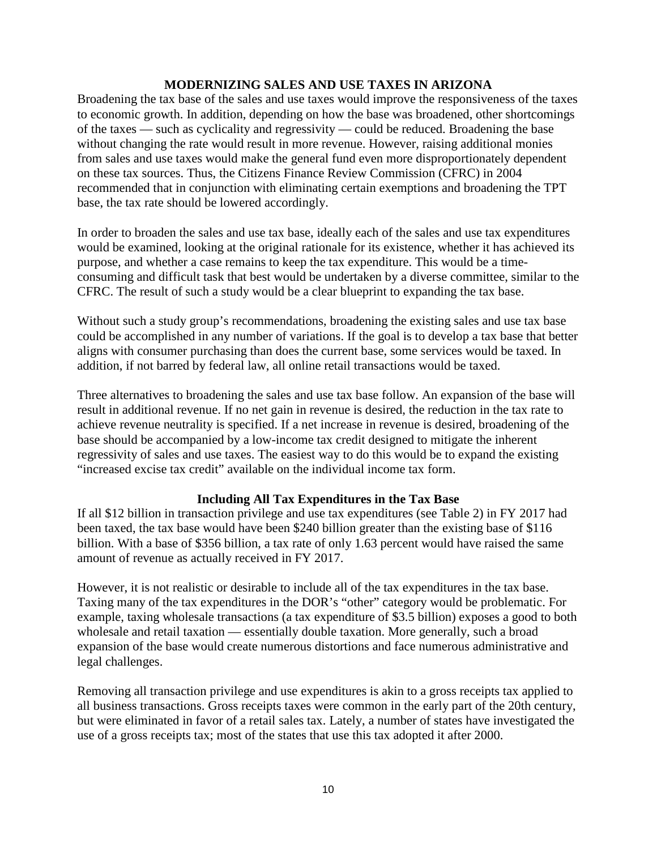## **MODERNIZING SALES AND USE TAXES IN ARIZONA**

Broadening the tax base of the sales and use taxes would improve the responsiveness of the taxes to economic growth. In addition, depending on how the base was broadened, other shortcomings of the taxes — such as cyclicality and regressivity — could be reduced. Broadening the base without changing the rate would result in more revenue. However, raising additional monies from sales and use taxes would make the general fund even more disproportionately dependent on these tax sources. Thus, the Citizens Finance Review Commission (CFRC) in 2004 recommended that in conjunction with eliminating certain exemptions and broadening the TPT base, the tax rate should be lowered accordingly.

In order to broaden the sales and use tax base, ideally each of the sales and use tax expenditures would be examined, looking at the original rationale for its existence, whether it has achieved its purpose, and whether a case remains to keep the tax expenditure. This would be a timeconsuming and difficult task that best would be undertaken by a diverse committee, similar to the CFRC. The result of such a study would be a clear blueprint to expanding the tax base.

Without such a study group's recommendations, broadening the existing sales and use tax base could be accomplished in any number of variations. If the goal is to develop a tax base that better aligns with consumer purchasing than does the current base, some services would be taxed. In addition, if not barred by federal law, all online retail transactions would be taxed.

Three alternatives to broadening the sales and use tax base follow. An expansion of the base will result in additional revenue. If no net gain in revenue is desired, the reduction in the tax rate to achieve revenue neutrality is specified. If a net increase in revenue is desired, broadening of the base should be accompanied by a low-income tax credit designed to mitigate the inherent regressivity of sales and use taxes. The easiest way to do this would be to expand the existing "increased excise tax credit" available on the individual income tax form.

## **Including All Tax Expenditures in the Tax Base**

If all \$12 billion in transaction privilege and use tax expenditures (see Table 2) in FY 2017 had been taxed, the tax base would have been \$240 billion greater than the existing base of \$116 billion. With a base of \$356 billion, a tax rate of only 1.63 percent would have raised the same amount of revenue as actually received in FY 2017.

However, it is not realistic or desirable to include all of the tax expenditures in the tax base. Taxing many of the tax expenditures in the DOR's "other" category would be problematic. For example, taxing wholesale transactions (a tax expenditure of \$3.5 billion) exposes a good to both wholesale and retail taxation — essentially double taxation. More generally, such a broad expansion of the base would create numerous distortions and face numerous administrative and legal challenges.

Removing all transaction privilege and use expenditures is akin to a gross receipts tax applied to all business transactions. Gross receipts taxes were common in the early part of the 20th century, but were eliminated in favor of a retail sales tax. Lately, a number of states have investigated the use of a gross receipts tax; most of the states that use this tax adopted it after 2000.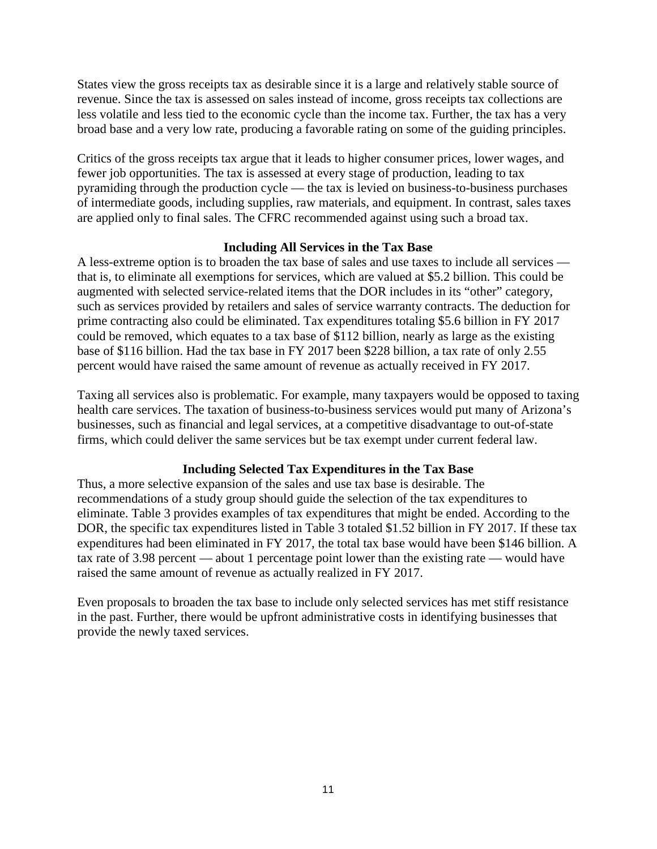States view the gross receipts tax as desirable since it is a large and relatively stable source of revenue. Since the tax is assessed on sales instead of income, gross receipts tax collections are less volatile and less tied to the economic cycle than the income tax. Further, the tax has a very broad base and a very low rate, producing a favorable rating on some of the guiding principles.

Critics of the gross receipts tax argue that it leads to higher consumer prices, lower wages, and fewer job opportunities. The tax is assessed at every stage of production, leading to tax pyramiding through the production cycle — the tax is levied on business-to-business purchases of intermediate goods, including supplies, raw materials, and equipment. In contrast, sales taxes are applied only to final sales. The CFRC recommended against using such a broad tax.

## **Including All Services in the Tax Base**

A less-extreme option is to broaden the tax base of sales and use taxes to include all services that is, to eliminate all exemptions for services, which are valued at \$5.2 billion. This could be augmented with selected service-related items that the DOR includes in its "other" category, such as services provided by retailers and sales of service warranty contracts. The deduction for prime contracting also could be eliminated. Tax expenditures totaling \$5.6 billion in FY 2017 could be removed, which equates to a tax base of \$112 billion, nearly as large as the existing base of \$116 billion. Had the tax base in FY 2017 been \$228 billion, a tax rate of only 2.55 percent would have raised the same amount of revenue as actually received in FY 2017.

Taxing all services also is problematic. For example, many taxpayers would be opposed to taxing health care services. The taxation of business-to-business services would put many of Arizona's businesses, such as financial and legal services, at a competitive disadvantage to out-of-state firms, which could deliver the same services but be tax exempt under current federal law.

## **Including Selected Tax Expenditures in the Tax Base**

Thus, a more selective expansion of the sales and use tax base is desirable. The recommendations of a study group should guide the selection of the tax expenditures to eliminate. Table 3 provides examples of tax expenditures that might be ended. According to the DOR, the specific tax expenditures listed in Table 3 totaled \$1.52 billion in FY 2017. If these tax expenditures had been eliminated in FY 2017, the total tax base would have been \$146 billion. A tax rate of 3.98 percent — about 1 percentage point lower than the existing rate — would have raised the same amount of revenue as actually realized in FY 2017.

Even proposals to broaden the tax base to include only selected services has met stiff resistance in the past. Further, there would be upfront administrative costs in identifying businesses that provide the newly taxed services.